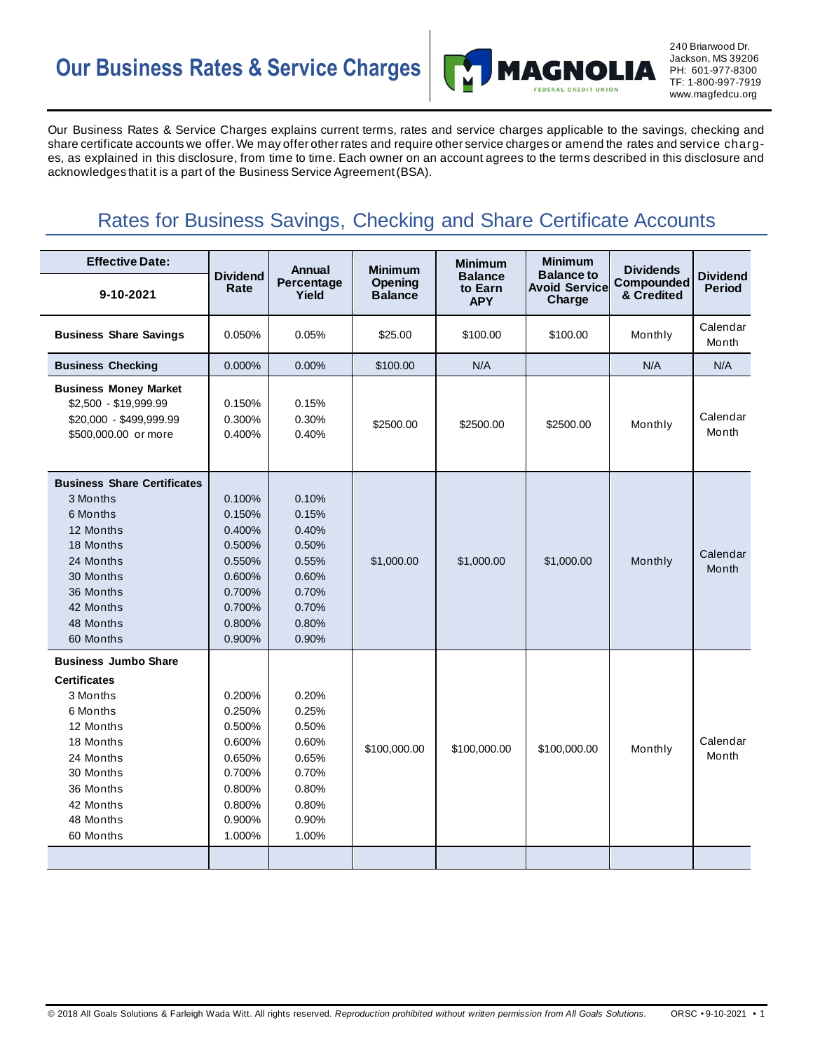# **Our Business Rates & Service Charges**



240 Briarwood Dr. Jackson, MS 39206 PH: 601-977-8300 TF: 1-800-997-7919 www.magfedcu.org

Our Business Rates & Service Charges explains current terms, rates and service charges applicable to the savings, checking and share certificate accounts we offer. We may offer other rates and require other service charges or amend the rates and service charges, as explained in this disclosure, from time to time. Each owner on an account agrees to the terms described in this disclosure and acknowledges that it is a part of the Business Service Agreement (BSA).

## Rates for Business Savings, Checking and Share Certificate Accounts

| <b>Effective Date:</b>                                                                                                                                                             |                                                                                                  | <b>Annual</b>                                                                          | <b>Minimum</b>            | <b>Minimum</b>                          | <b>Minimum</b>                                      | <b>Dividends</b><br>Compounded<br>& Credited | <b>Dividend</b><br><b>Period</b> |
|------------------------------------------------------------------------------------------------------------------------------------------------------------------------------------|--------------------------------------------------------------------------------------------------|----------------------------------------------------------------------------------------|---------------------------|-----------------------------------------|-----------------------------------------------------|----------------------------------------------|----------------------------------|
| 9-10-2021                                                                                                                                                                          | <b>Dividend</b><br>Rate                                                                          | Percentage<br>Yield                                                                    | Opening<br><b>Balance</b> | <b>Balance</b><br>to Earn<br><b>APY</b> | <b>Balance to</b><br><b>Avoid Service</b><br>Charge |                                              |                                  |
| <b>Business Share Savings</b>                                                                                                                                                      | 0.050%                                                                                           | 0.05%                                                                                  | \$25.00                   | \$100.00                                | \$100.00                                            | Monthly                                      | Calendar<br>Month                |
| <b>Business Checking</b>                                                                                                                                                           | 0.000%                                                                                           | 0.00%                                                                                  | \$100.00                  | N/A                                     |                                                     | N/A                                          | N/A                              |
| <b>Business Money Market</b><br>\$2,500 - \$19,999.99<br>\$20,000 - \$499,999.99<br>\$500,000.00 or more                                                                           | 0.150%<br>0.300%<br>0.400%                                                                       | 0.15%<br>0.30%<br>0.40%                                                                | \$2500.00                 | \$2500.00                               | \$2500.00                                           | Monthly                                      | Calendar<br>Month                |
| <b>Business Share Certificates</b><br>3 Months<br>6 Months<br>12 Months<br>18 Months<br>24 Months<br>30 Months<br>36 Months<br>42 Months<br>48 Months<br>60 Months                 | 0.100%<br>0.150%<br>0.400%<br>0.500%<br>0.550%<br>0.600%<br>0.700%<br>0.700%<br>0.800%<br>0.900% | 0.10%<br>0.15%<br>0.40%<br>0.50%<br>0.55%<br>0.60%<br>0.70%<br>0.70%<br>0.80%<br>0.90% | \$1,000.00                | \$1,000.00                              | \$1,000.00                                          | Monthly                                      | Calendar<br>Month                |
| <b>Business Jumbo Share</b><br><b>Certificates</b><br>3 Months<br>6 Months<br>12 Months<br>18 Months<br>24 Months<br>30 Months<br>36 Months<br>42 Months<br>48 Months<br>60 Months | 0.200%<br>0.250%<br>0.500%<br>0.600%<br>0.650%<br>0.700%<br>0.800%<br>0.800%<br>0.900%<br>1.000% | 0.20%<br>0.25%<br>0.50%<br>0.60%<br>0.65%<br>0.70%<br>0.80%<br>0.80%<br>0.90%<br>1.00% | \$100,000.00              | \$100,000.00                            | \$100,000.00                                        | Monthly                                      | Calendar<br>Month                |
|                                                                                                                                                                                    |                                                                                                  |                                                                                        |                           |                                         |                                                     |                                              |                                  |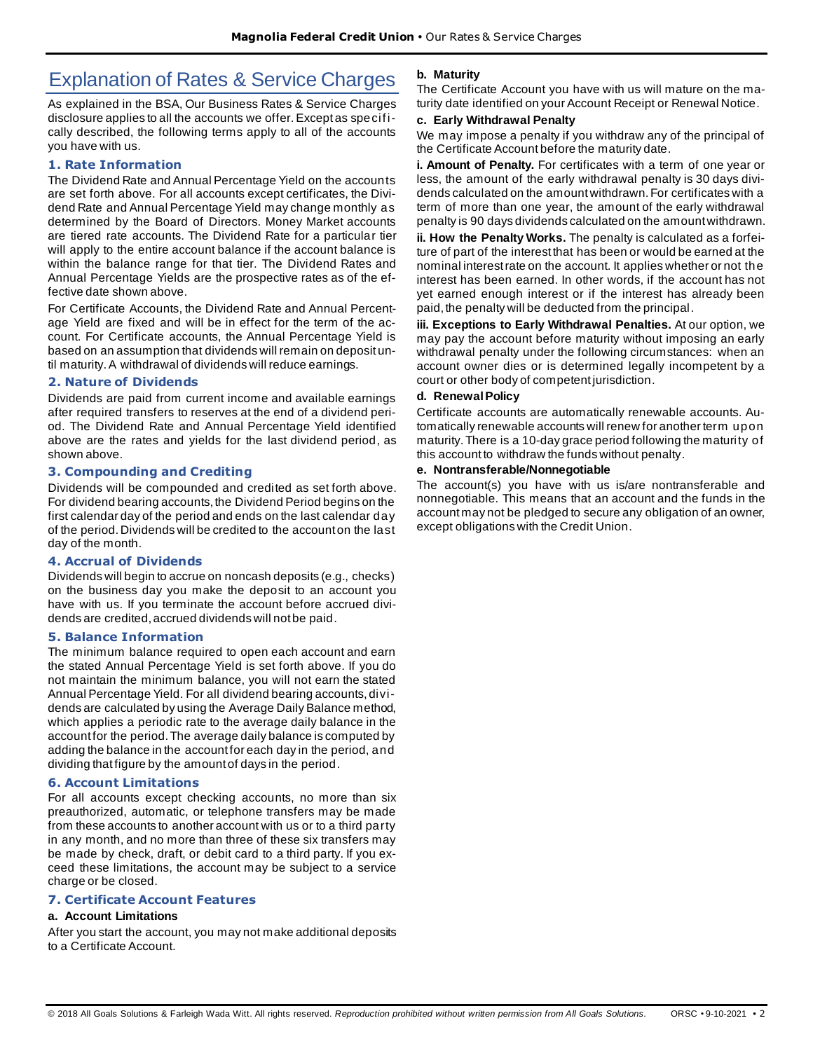## Explanation of Rates & Service Charges

As explained in the BSA, Our Business Rates & Service Charges disclosure applies to all the accounts we offer.Except as specifically described, the following terms apply to all of the accounts you have with us.

#### **1. Rate Information**

The Dividend Rate and Annual Percentage Yield on the accounts are set forth above. For all accounts except certificates, the Dividend Rate and Annual Percentage Yield may change monthly as determined by the Board of Directors. Money Market accounts are tiered rate accounts. The Dividend Rate for a particular tier will apply to the entire account balance if the account balance is within the balance range for that tier. The Dividend Rates and Annual Percentage Yields are the prospective rates as of the effective date shown above.

For Certificate Accounts, the Dividend Rate and Annual Percentage Yield are fixed and will be in effect for the term of the account. For Certificate accounts, the Annual Percentage Yield is based on an assumption that dividends will remain on deposit until maturity. A withdrawal of dividends will reduce earnings.

#### **2. Nature of Dividends**

Dividends are paid from current income and available earnings after required transfers to reserves at the end of a dividend period. The Dividend Rate and Annual Percentage Yield identified above are the rates and yields for the last dividend period, as shown above.

#### **3. Compounding and Crediting**

Dividends will be compounded and credited as set forth above. For dividend bearing accounts, the Dividend Period begins on the first calendar day of the period and ends on the last calendar day of the period. Dividends will be credited to the account on the last day of the month.

#### **4. Accrual of Dividends**

Dividends will begin to accrue on noncash deposits (e.g., checks) on the business day you make the deposit to an account you have with us. If you terminate the account before accrued dividends are credited, accrued dividends will not be paid.

#### **5. Balance Information**

The minimum balance required to open each account and earn the stated Annual Percentage Yield is set forth above. If you do not maintain the minimum balance, you will not earn the stated Annual Percentage Yield. For all dividend bearing accounts, dividends are calculated by using the Average Daily Balance method, which applies a periodic rate to the average daily balance in the account for the period. The average daily balance is computed by adding the balance in the account for each day in the period, and dividing that figure by the amount of days in the period.

#### **6. Account Limitations**

For all accounts except checking accounts, no more than six preauthorized, automatic, or telephone transfers may be made from these accounts to another account with us or to a third party in any month, and no more than three of these six transfers may be made by check, draft, or debit card to a third party. If you exceed these limitations, the account may be subject to a service charge or be closed.

#### **7. Certificate Account Features**

#### **a. Account Limitations**

After you start the account, you may not make additional deposits to a Certificate Account.

#### **b. Maturity**

The Certificate Account you have with us will mature on the maturity date identified on your Account Receipt or Renewal Notice.

#### **c. Early Withdrawal Penalty**

We may impose a penalty if you withdraw any of the principal of the Certificate Account before the maturity date.

**i. Amount of Penalty.** For certificates with a term of one year or less, the amount of the early withdrawal penalty is 30 days dividends calculated on the amount withdrawn. For certificates with a term of more than one year, the amount of the early withdrawal penalty is 90 days dividends calculated on the amount withdrawn.

**ii. How the Penalty Works.** The penalty is calculated as a forfeiture of part of the interest that has been or would be earned at the nominal interest rate on the account. It applies whether or not the interest has been earned. In other words, if the account has not yet earned enough interest or if the interest has already been paid, the penalty will be deducted from the principal.

**iii. Exceptions to Early Withdrawal Penalties.** At our option, we may pay the account before maturity without imposing an early withdrawal penalty under the following circumstances: when an account owner dies or is determined legally incompetent by a court or other body of competent jurisdiction.

#### **d. Renewal Policy**

Certificate accounts are automatically renewable accounts. Automatically renewable accounts will renew for another term upon maturity. There is a 10-day grace period following the maturity of this account to withdraw the funds without penalty.

#### **e. Nontransferable/Nonnegotiable**

The account(s) you have with us is/are nontransferable and nonnegotiable. This means that an account and the funds in the account may not be pledged to secure any obligation of an owner, except obligations with the Credit Union.